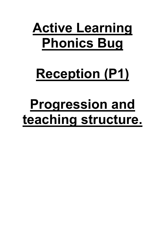## **Active Learning Phonics Bug**

# **Reception (P1)**

# **Progression and teaching structure.**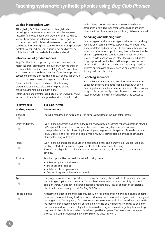#### **Guided independent work**

Although Bug Club Phonics is delivered through teachermodelling and rehearsal with the whole class, there are also resources for guided independent work. These can be tailored to meet the needs of an individual or groups and to give you a chance to work with children who may need more help to consolidate their learning. The resources consist of one photocopy master (PCM) for each session, plus up to five pupil games per unit that can start to be used after the end of each unit.

#### **Introduction of graded readers**

Bug Club Phonics is supported by decodable readers which match the order of phoneme introduction. When the children have completed the first two units of Bug Club Phonics, they will have acquired a sufficient number of grapheme–phoneme correspondences to start reading their own books. This should be a motivating and enjoyable experience for them.

There are books to match each unit of the teaching programme and these help children to practise and consolidate their learning at each stage.

Before, during and after the introduction of the Bug Club Phonics readers, children should be exposed constantly to a rich and

varied diet of book experiences to ensure their enthusiasm for reading is nurtured, their comprehension skills are being developed, and their speaking and listening skills are extended.

#### **Speaking and listening skills**

Our strategy of teacher-modelling and rehearsal for teaching reading and spelling provides opportunities for pupils to be both spectators and participants. As spectators, they listen to words and structures; as participants, they try them out. While sharing pupil magnetic boards, working in pairs or small groups, pupils respond to each other, learning to adjust the language to suit the situation and the response of partners. Using graded readers, the teacher can encourage pupils to express opinions and explore, develop and sustain ideas through talk and discussion.

#### **Teaching sequence**

Bug Club Phonics is structured with Phoneme Sessions and Language Sessions (see page 7 for the breakdown of the 'teaching elements' in both these session types). The following diagram illustrates the alignment of the Bug Club Phonics lesson structure to the recommended teaching sequence.

| <b>Recommended</b> | <b>Bug Club Phonics</b>                                                                                                                                                                                                                                                                                                                                                                                                                                                                                                                                                                                                                                                                                  |  |  |
|--------------------|----------------------------------------------------------------------------------------------------------------------------------------------------------------------------------------------------------------------------------------------------------------------------------------------------------------------------------------------------------------------------------------------------------------------------------------------------------------------------------------------------------------------------------------------------------------------------------------------------------------------------------------------------------------------------------------------------------|--|--|
| teaching sequence  | lesson structure                                                                                                                                                                                                                                                                                                                                                                                                                                                                                                                                                                                                                                                                                         |  |  |
| Introduce          | Learning intentions and outcomes for the day are discussed at the start of the lesson.                                                                                                                                                                                                                                                                                                                                                                                                                                                                                                                                                                                                                   |  |  |
| Revisit and review | Every Phoneme Session begins with Revision to review previous learning (with the exception of Unit 1).<br>In Reception (P1) the Revision is not just of the previous day's target grapheme-phoneme<br>correspondence, but also of blending for reading and segmenting for spelling of the relevant words.<br>In Key Stage 1 (P2&3) the Revision is sometimes a review of previous learning which links with the<br>planned teaching for that day.                                                                                                                                                                                                                                                        |  |  |
| Teach              | Every Phoneme and Language Session is composed of teaching elements (e.g. Sounds, Reading,<br>Spelling etc.) which are easily navigated to structure the new phonic teaching.<br>The teaching of grapheme-phoneme correspondences and high-frequency (common) words is<br>covered.                                                                                                                                                                                                                                                                                                                                                                                                                       |  |  |
| Practise           | Practise opportunities are available in the following areas:<br>• 'Follow-up' parts of the lessons<br>• unit-linked pupil games<br>• unit-linked photocopy masters<br>• 'free-teaching' within the Magnetic Board.                                                                                                                                                                                                                                                                                                                                                                                                                                                                                       |  |  |
| Apply              | Language Sessions provide opportunities to apply developing phonic skills to the reading, spelling<br>and writing of captions and sentences. This application also covers irregular (not fully decodable)<br>common words. In addition, the linked decodable readers allow regular application of children's<br>phonic skills, from as early as Unit 2 of Bug Club Phonics.                                                                                                                                                                                                                                                                                                                              |  |  |
| Assess learning    | Assessment guidance and materials provided within this guide and on the website enable ongoing<br>formative assessment during the daily lessons and summative assessment at regular periods throughout<br>the programme. The frequency of assessment opportunities means children's needs can be identified<br>the moment they become apparent, ensuring that no child gets left behind. The catch-up guidance<br>and resources allow children to stay within the main teaching sessions whilst getting the extra help<br>they need, in the right format, to be able to keep up with their peers. The assessment resources can<br>be used to prepare children for the Phonics Screening Check in Year 1. |  |  |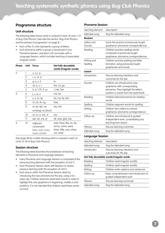### **Programme structure**

#### **Unit structure**

The following table shows what is covered in each of Units 1–12 of Bug Club Phonics. (See also the section 'Bug Club Phonics and the phases of progression' on page 8.)

- Each of the 12 units represents a group of letters.
- Each phoneme within a group is introduced in one Phoneme Session, and each unit concludes with a Language Session, which includes teaching of associated irregular words.

| <b>Phase</b> | Unit | <b>Focus</b>                                                    | Not fully decodable<br>words (irregular words)                                           |
|--------------|------|-----------------------------------------------------------------|------------------------------------------------------------------------------------------|
| 2            | 1    | s, a, t, p                                                      |                                                                                          |
|              | 2    | i, n, m, d                                                      |                                                                                          |
|              | 3    | g, o, c, k                                                      | to                                                                                       |
|              | 4    | ck, e, u, r                                                     | the, no, go                                                                              |
|              | 5    | h, b, f, ff l, ll, ss                                           | I, into, her                                                                             |
| 3            | 6    | I, V, W, X                                                      | me, be                                                                                   |
|              | 7    | y, z, zz, qu                                                    | he, my, by, she                                                                          |
|              | 8    | ch, sh, th, ng                                                  | they                                                                                     |
|              | 9    | ai, ee, igh, oa                                                 | we, are                                                                                  |
|              |      | oo (long), oo (short)                                           |                                                                                          |
|              | 10   | ar, or, ur, ow, oi                                              | <b>VOU</b>                                                                               |
|              | 11   | ear, air, ure, er                                               | all, was, give, live                                                                     |
| 4            | 12   | Adjacent<br>consonants<br>(cvcc, ccvc, ccvcc,<br>cccvc, cccvcc) | said, have, like, so, do,<br>some, come, were,<br>there, little, one, when,<br>out, what |

(See page 48 for a table showing what is covered in each of Units 13–30 of Bug Club Phonics.)

#### **Session structure**

The following table illustrates the breakdown of teaching elements in Phoneme and Language Sessions.

- Every Phoneme and Language Session is composed of the same teaching elements (with the exception of Unit 1).
- Each Phoneme Session starts with Revision to review previous learning (with the exception of Unit 1).
- Each lesson within the Phoneme Session starts by introducing the new phoneme for the day, using a fun video clip. Children examine asset bank words in order to highlight the new grapheme in beginning, middle or end positions. It is not intended that children read these words out loud.

#### **Phoneme Session**

| Teaching element        | Description                                                                                                                                    |  |
|-------------------------|------------------------------------------------------------------------------------------------------------------------------------------------|--|
| Alphabet song           | Sing the Alphabet song                                                                                                                         |  |
| <b>Revision</b>         |                                                                                                                                                |  |
| Letters and<br>Sounds   | Quick-fire practice of previously taught<br>grapheme-phoneme correspondences                                                                   |  |
| Reading                 | Children practise reading words<br>composed of previously taught<br>grapheme-phoneme correspondences                                           |  |
| Writing and<br>Spelling | Children practise spelling and letter<br>formation using previously taught<br>graphemes and words                                              |  |
| Lesson                  |                                                                                                                                                |  |
| <b>Introduction</b>     | Discuss learning intentions and<br>outcomes for the day                                                                                        |  |
| Sounds                  | Children are introduced to new<br>grapheme with corresponding<br>phoneme. They highlight the letter's<br>position in words from the asset bank |  |
| Reading                 | Children blend phonemes for reading<br>words                                                                                                   |  |
| Spelling                | Children segment words for spelling                                                                                                            |  |
| Writing                 | Children form letters to cement<br>grapheme-phoneme correspondence                                                                             |  |
| Follow-up               | Children are introduced to guided<br>independent work, consolidating any<br>teaching from lesson                                               |  |
| Plenary                 | Discuss learning outcomes                                                                                                                      |  |
| Alphabet song           | Sing the Alphabet song                                                                                                                         |  |
| <b>Language Session</b> |                                                                                                                                                |  |
| Teaching element        | Description                                                                                                                                    |  |
| Alphabet song           | Sing the Alphabet song                                                                                                                         |  |
| Introduction            | Discuss learning intentions and<br>outcomes for the day                                                                                        |  |
|                         | Not fully decodable words/irregular words                                                                                                      |  |
| Reading                 | Children read irregular word(s)                                                                                                                |  |
| Spelling                | Children spell irregular word(s)                                                                                                               |  |
| Writing                 | Children write captions and sentences                                                                                                          |  |
| Follow-up               | Basic comprehension and introduction of<br>guided independent work                                                                             |  |
| Plenary                 | Discuss learning outcomes                                                                                                                      |  |

Alphabet song Sing the Alphabet song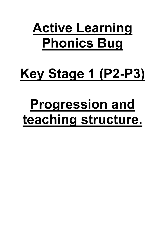## **Active Learning Phonics Bug**

# **Key Stage 1 (P2-P3)**

# **Progression and teaching structure.**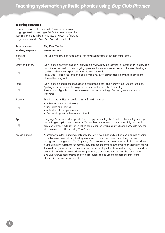#### **Teaching sequence**

Bug Club Phonics is structured with Phoneme Sessions and Language Sessions (see pages 7–9 for the breakdown of the 'teaching elements' in both these session types). The following diagram illustrates the Bug Club Phonics lesson structure.

| <b>Recommended</b> | <b>Bug Club Phonics</b>                                                                                                                                                                                                                                                                                                                                                                                                                                                                                                                                                                                                                                                                                                                                |  |  |
|--------------------|--------------------------------------------------------------------------------------------------------------------------------------------------------------------------------------------------------------------------------------------------------------------------------------------------------------------------------------------------------------------------------------------------------------------------------------------------------------------------------------------------------------------------------------------------------------------------------------------------------------------------------------------------------------------------------------------------------------------------------------------------------|--|--|
| teaching sequence  | lesson structure                                                                                                                                                                                                                                                                                                                                                                                                                                                                                                                                                                                                                                                                                                                                       |  |  |
| Introduce          | Learning intentions and outcomes for the day are discussed at the start of the lesson.                                                                                                                                                                                                                                                                                                                                                                                                                                                                                                                                                                                                                                                                 |  |  |
| Revisit and review | Every Phoneme Session begins with Revision to review previous learning. In Reception (P1) the Revision<br>is not just of the previous day's target grapheme-phoneme correspondence, but also of blending for<br>reading and segmenting for spelling of the relevant words.<br>In Key Stage 1 (P2&3) the Revision is sometimes a review of previous learning which links with the<br>planned teaching for that day.                                                                                                                                                                                                                                                                                                                                     |  |  |
| Teach              | Every Phoneme and Language Session is composed of teaching elements (e.g. Sounds, Reading,<br>Spelling etc) which are easily navigated to structure the new phonic teaching.<br>The teaching of grapheme-phoneme correspondences and high-frequency (common) words<br>is covered.                                                                                                                                                                                                                                                                                                                                                                                                                                                                      |  |  |
| Practise           | Practise opportunities are available in the following areas:<br>• 'Follow-up' parts of the lessons<br>• unit-linked pupil games<br>• unit-linked photocopy masters<br>• 'free-teaching' within the Magnetic Board.                                                                                                                                                                                                                                                                                                                                                                                                                                                                                                                                     |  |  |
| Apply              | Language Sessions provide opportunities to apply developing phonic skills to the reading, spelling<br>and writing of captions and sentences. This application also covers irregular (not fully decodable)<br>common words. In addition, phonic skills can be applied when using the linked decodable readers,<br>starting as early as Unit 2 of Bug Club Phonics.                                                                                                                                                                                                                                                                                                                                                                                      |  |  |
| Assess learning    | Assessment guidance and materials provided within this guide and on the website enable ongoing<br>formative assessment during the daily lessons and summative assessment at regular periods<br>throughout the programme. The frequency of assessment opportunities means children's needs can<br>be identified and evidenced the moment they become apparent, ensuring that no child gets left behind.<br>The catch-up guidance and resources allow children to stay within the main teaching sessions whilst<br>getting the extra help they need, in the right format, to be able to keep up with their peers. The<br>Bug Club Phonics assessments and online resources can be used to prepare children for the<br>Phonics Screening Check in Year 1. |  |  |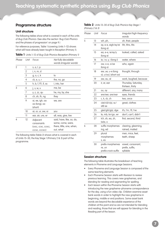### **Programme structure**

#### **Unit structure**

The following tables show what is covered in each of the units of Bug Club Phonics. (See also the section 'Bug Club Phonics and the phases of progression' on page 9.)

For reference purposes, Table 1 (covering Units 1–12) shows what will have already been taught in Reception (Primary 1).

|  |  |  | Table 1 Units 1-12 of Bug Club Phonics Reception (Primary 1) |  |
|--|--|--|--------------------------------------------------------------|--|
|--|--|--|--------------------------------------------------------------|--|

| Phase | Unit | Focus                                                           | Not fully decodable<br>words (irregular words)                                           |
|-------|------|-----------------------------------------------------------------|------------------------------------------------------------------------------------------|
| 2     | 1    | s, a, t, p                                                      |                                                                                          |
|       | 2    | i, n, m, d                                                      |                                                                                          |
|       | 3    | g, o, c, k                                                      | to                                                                                       |
|       | 4    | ck, e, u, r                                                     | the, no, go                                                                              |
|       | 5    | h, b, f, ff l, ll, ss                                           | I, into, her                                                                             |
| 3     | 6    | I, V, W, X                                                      | me, be                                                                                   |
|       | 7    | y, z, zz, qu                                                    | he, my, by, she                                                                          |
|       | 8    | ch, sh, th, ng                                                  | they                                                                                     |
|       | 9    | ai, ee, igh, oa<br>oo (long), oo<br>(short)                     | we, are                                                                                  |
|       | 10   | ar, or, ur, ow, oi                                              | <b>VOU</b>                                                                               |
|       | 11   | ear, air, ure, er                                               | all, was, give, live                                                                     |
| 4     | 12   | Adjacent<br>consonants<br>(cvcc, ccvc, ccvcc,<br>CCCVC, CCCVCC) | said, have, like, so, do,<br>some, come, were,<br>there, little, one, when,<br>out, what |

The following table (Table 2) shows what is covered in each of Units 13–30, the Key Stage 1 (Primary 2 & 3) part of the programme.

#### Table 2 Units 13-30 of Bug Club Phonics Key Stage 1 (Primary 2 & 3)

| Phase | Unit | Focus                                            | Irregular/high-frequency<br>words                |
|-------|------|--------------------------------------------------|--------------------------------------------------|
| 5     | 13   | wh, ph,                                          | oh, their, people                                |
|       | 14   | ay, a-e, eigh/ey/ei<br>(long a)                  | Mr, Mrs, Ms                                      |
|       | 15   | ea, e-e, ie/ey/y<br>(long e)                     | looked, called, asked                            |
|       | 16   | ie, i-e, y, i (long i)                           | water, where                                     |
|       | 17   | ow, o-e, o/oe<br>(long o)                        | who, again                                       |
|       | 18   | ew, ue, u-e (long<br>o), u/oul, (short oo)       | thought, through                                 |
|       | 19   | aw, au, al                                       | work, laughed, because                           |
|       | 20   | ir, er, ear                                      | Thursday, Saturday,<br>thirteen, thirty          |
|       | 21   | OU, OY                                           | different, any, many                             |
|       | 22   | ere/eer, are/ear                                 | eyes, friends                                    |
|       | 23   | c, k, ck, ch                                     | two, once                                        |
|       | 24   | c(e)/c(i)/c(y), sc/<br>st(l) se                  | great, clothes                                   |
|       | 25   | g(e)/g(i)/g(y), dge                              | it's, I'm, I'll, I've                            |
|       | 26   | le, mb, kn/gn, wr                                | don't, can't, didn't                             |
|       | 27   | tch, sh, ea, zh,<br>(w)a, o                      | first, second, third                             |
| 6     | 28   | suffix morphemes<br>ing, ed                      | clearing, gleaming,<br>rained, mailed            |
|       | 29   | plural<br>morphemes<br>s, es                     | men, mice, feet,<br>teeth, sheep                 |
|       | 30   | prefix morphemes<br>re, un<br>prefix+root+suffix | vowel, consonant,<br>prefix, suffix,<br>syllable |

#### **Session structure**

The following table illustrates the breakdown of teaching elements in Phoneme and Language Sessions.

- Every Phoneme and Language Session is composed of the same teaching elements.
- Each Phoneme Session starts with Revision to review previous learning. This covers new graphemes, and blending for reading and segmenting for spelling.
- Each lesson within the Phoneme Session starts with introducing the new grapheme–phoneme correspondence for the day, using a fun video clip. Children examine asset bank words in order to highlight the new grapheme in beginning, middle or end positions. Some asset bank words are beyond the decodable experience of the children at this point and so are not intended for blending and reading; those that are will appear for blending in the Reading part of the lesson.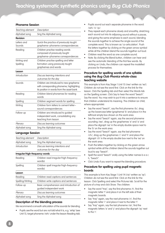#### **Phoneme Session**

| Teaching element        | Description                                                                                                                      |  |
|-------------------------|----------------------------------------------------------------------------------------------------------------------------------|--|
| Alphabet song           | Sing the Alphabet song                                                                                                           |  |
| <b>Revision</b>         |                                                                                                                                  |  |
| Letters and<br>Sounds   | Quick-fire practice of previously taught<br>grapheme-phoneme correspondences                                                     |  |
| Reading                 | Children practise reading words<br>composed of previously taught<br>grapheme-phoneme correspondences                             |  |
| Writing and<br>Spelling | Children practise spelling and letter<br>formation using previously taught<br>graphemes and words                                |  |
| Lesson                  |                                                                                                                                  |  |
| Introduction            | Discuss learning intentions and<br>outcomes for the day                                                                          |  |
| Sounds                  | Children are introduced to new grapheme<br>with corresponding phoneme, highlighting<br>its position in words from the asset bank |  |
| Reading                 | Children blend phonemes for reading<br>words                                                                                     |  |
| Spelling                | Children segment words for spelling                                                                                              |  |
| Writing                 | Children form letters to cement letter-<br>sound correspondences                                                                 |  |
| Follow-up               | Children are introduced to guided<br>independent work, consolidating any<br>teaching from lesson                                 |  |
| Plenary                 | Discuss learning outcomes                                                                                                        |  |
| Alphabet song           | Sing the Alphabet song                                                                                                           |  |
|                         |                                                                                                                                  |  |

#### **Language Session**

| Teaching element | Description                                             |
|------------------|---------------------------------------------------------|
| Alphabet song    | Sing the Alphabet song                                  |
| Introduction     | Discuss learning intentions and<br>outcomes for the day |

**Irregular/high-frequency words**

| Reading          | Children read irregular/high-frequency<br>word(s)                  |  |
|------------------|--------------------------------------------------------------------|--|
| Spelling         | Children spell irregular/high-frequency<br>word(s)                 |  |
| Lesson           |                                                                    |  |
| Reading          | Children read captions and sentences                               |  |
| Spelling/Writing | Children write captions and sentences                              |  |
| Follow-up        | Basic comprehension and introduction of<br>guided independent work |  |
| Plenary          | Discuss learning outcomes                                          |  |
| Alphabet song    | Sing the Alphabet song                                             |  |

#### **Description of the blending process**

We recommend a smooth articulation of the sounds for blending.

• Pupils see the word but are not told what it is, e.g. 'whip' (see Unit 13, target phoneme /wh/ under the lesson Reading tab).

- Pupils sound out each separate phoneme in the word: /wh/ /i/ /p/.
- They repeat each phoneme slowly and smoothly, stretching each sound out into its adjoining sound without a pause, and giving the same emphasis to each sound, blending the sounds together to achieve the single sound of the complete word. This is known as 'co-articulation'. Push the letters together by clicking on the green arrow symbol while all the children blend the sounds together out loud.
- Children read the word as one complete sound.
- Note: By clicking the Blend button, children can hear and see the automatic blending of the first few words. By clicking on Undo, the children can repeat the modelled process for themselves.

#### **Procedure for spelling words of one syllable using the Bug Club Phonics whole-class teaching website**

This example is from Key Stage 1 Unit 15 (/ee/ written as 'ea'). Children do not see the word first. Click on the link for the lesson. Click the Spelling tab and then select the Words tab on the Spelling screen. Click Say to hear the word "beach". Say the word. You may wish to put it into a sentence to ensure that children understand its meaning. The children (or child, where appropriate):

- Say the word "beach", say the first phoneme /b/, drag up the lowercase letter (grapheme) 'b' and place it in the leftmost empty box shown on the work area.
- Say the word "beach" again, say the second phoneme sounding /ee/, drag up the graphemes 'e' and 'a' and place the digraph 'ea' in the empty double space next to the 'b' on the work area.
- Say the word "beach" again, say the last phoneme /ch/, drag up the graphemes 'c' and 'h' and place the digraph 'ch' in the empty double box next to the 'ea' on the work area.
- Push the letters together by clicking on the green arrow symbol while all the children blend the sounds together out loud to say "beach".
- Spell the word "beach" orally using the letter names b e a c h, "beach".
- Click Undo if you want to repeat the blending procedure.

#### **Procedure for spelling using pupil magnetic boards**

This example is from Key Stage 1 Unit 14 (/ai/ written as 'ay'). Children do not see the word first. Click on the link for the lesson. Click Spelling and select the Pictures tab. Scroll for the picture of a tray and click Show. The children:

- Say the word "tray", say the first phoneme /t/, find the magnetic letter 't' and place it on the left side of their magnetic boards.
- Say "tray" again, say the next phoneme /r/, find the magnetic letter 'r' and place it next to the letter 't'.
- Say "tray" again, say the last phoneme /ai/, find the magnetic letters 'a' and 'y' and place the digraph 'ay' next to the 'r'.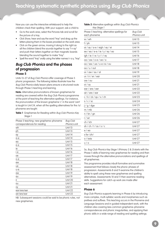Now you can use the interactive whiteboard to help the children check their spelling. With your support, ask a child to:

- Go to the work area, select the Pictures tab and scroll for the picture of a tray.
- Click Show, hear and say the word "tray" and drag up the letters placing them in the boxes provided on the work area.
- Click on the green arrow, moving it along to the right as all the children blend the sounds together to say "t-r-ay" and push their letters together on their magnetic boards blending the sound together to make "tray".
- Spell the word "tray" orally using the letter names t r a y, "tray".

## **Bug Club Phonics and the phases of progression**

#### **Phase 5**

Units 13–27 of Bug Club Phonics offer coverage of Phase 5 phonic progression. The following tables illustrate how the Bug Club Phonics daily lesson plans ensure a structured route through Phase 5 teaching and learning.

**Note:** Alternative pronunciations of known graphemes for reading are covered within the Bug Club Phonics programme at the point of teaching the alternative spellings. For instance, the pronunciation of the known grapheme 'c' in the word 'cent' is taught in Unit 24, when all the spelling alternatives for the /s/ phoneme are taught.

**Table 1** Graphemes for Reading within Bug Club Phonics Key Stage 1

| Phase 5 teaching: new grapheme-phoneme | <b>Bug Club</b> |
|----------------------------------------|-----------------|
| correspondences for reading            | Phonics unit    |
| wh                                     | Unit 13         |
| ph                                     | Unit 13         |
| ay                                     | Unit 14         |
| $a-e$                                  | Unit 14         |
| ea                                     | Unit 15         |
| $e-e$                                  | Unit 15         |
| ie                                     | Unit 16         |
| i-e                                    | Unit 16         |
| оe                                     | Unit 17         |
| $o-e$                                  | Unit 17         |
| ew                                     | Unit 18         |
| Ue                                     | Unit 18         |
| u-e                                    | Unit 18         |
| aw                                     | Unit 19         |
| au                                     | Unit 19         |
| ir                                     | Unit 20         |
| OU                                     | Unit 21         |
| oy                                     | Unit 21         |
| ear/ere/eer                            | Unit 22         |
| air/are/ear                            | Unit 22         |

NB: Subsequent sessions could be said to be phonic rules, not new graphemes.

Table 2 Alternative spellings within Bug Club Phonics Key Stage 1

| Phase 5 teaching: alternative spellings for<br>each phoneme | <b>Bug Club</b><br>Phonics unit |
|-------------------------------------------------------------|---------------------------------|
| w/wh                                                        | Unit 13                         |
| $f$ / ph                                                    | Unit 13                         |
| ai / ay / a-e / eigh / ey / ei                              | Unit 14                         |
| ee / ea / e-e / ie / y / ey / eo                            | Unit 15                         |
| igh / ie / i-e / y / i / ey                                 | Unit 16                         |
| og/ow/o-e/oe/o                                              | Unit 17                         |
| oo / ew / ue / u-e /ui / ou                                 | Unit 18                         |
| oo / u / oul                                                | Unit 18                         |
| or / aw / au / al                                           | Unit 19                         |
| ur / ir / er / ear                                          | Unit 20                         |
| ow / ou                                                     | Unit 21                         |
| oi / oy                                                     | Unit 21                         |
| ear / ere / eer                                             | Unit 22                         |
| air / are / ear                                             | Unit 22                         |
| $c/k/ck$ /qu/x/ch                                           | Unit 23                         |
| S / C / SC                                                  | Unit 24                         |
| j/g/dge                                                     | Unit 25                         |
| m/mb                                                        | Unit 26                         |
| n / kn / gn                                                 | Unit 26                         |
| r / wr                                                      | Unit 26                         |
| ch / tch                                                    | Unit 27                         |
| $sh$ / $ch$ / $t$ / $ss$ / $s$ / $c$                        | Unit 27                         |
| e / ea                                                      | Unit 27                         |
| s for /zh/                                                  | Unit 27                         |
| o / (w)a                                                    | Unit 27                         |
| u / o                                                       | Unit 27                         |
|                                                             |                                 |

So, Bug Club Phonics Key Stage 1 (Primary 2 & 3) starts with the Phase 5 skills of learning new graphemes for reading and then moves through the alternative pronunciations and spellings of all graphemes.

This programme provides inbuilt formative and summative assessment that follows closely the phonic phases of progression: Assessments 8 and 9 examine the children's ability to spell using these new graphemes and spelling alternatives. Assessments 10 and 11 then examine reading skills. Suggestions for catch-up work are made after each assessment.

#### **Phase 6**

Bug Club Phonics supports learning in Phase 6 by introducing more complex, multi-syllabic words and morphemes such as prefixes and suffixes. This teaching occurs in the Phoneme and Language Sessions and in guided independent work, with the children also covering less-common grapheme–phoneme correspondences and phonic irregularities, and applying their phonic skills in a wide range of reading and spelling settings.